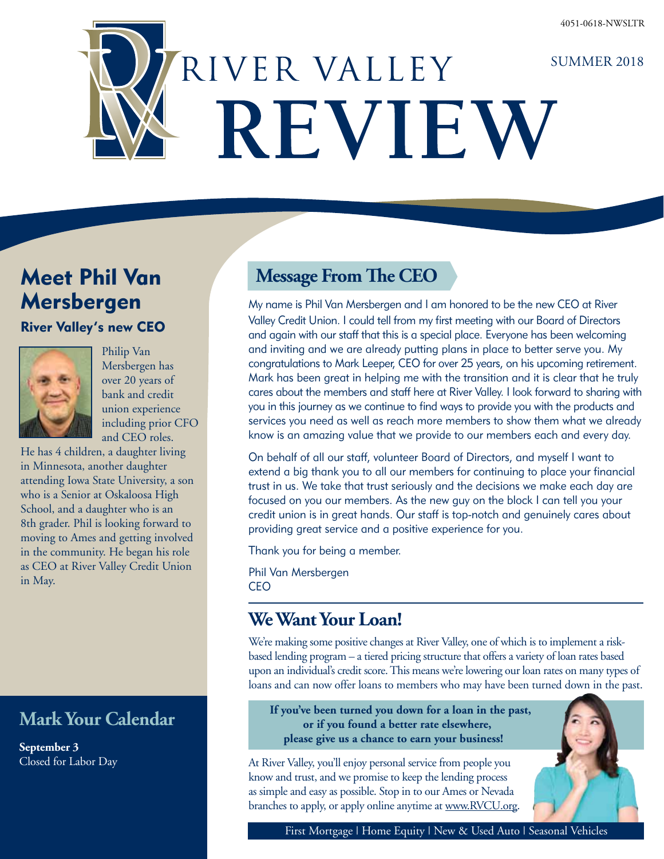# RIVER VALLEY SUMMER 2018 REVIEW

## Meet Phil Van Mersbergen

River Valley's new CEO



Philip Van Mersbergen has over 20 years of bank and credit union experience including prior CFO and CEO roles.

He has 4 children, a daughter living in Minnesota, another daughter attending Iowa State University, a son who is a Senior at Oskaloosa High School, and a daughter who is an 8th grader. Phil is looking forward to moving to Ames and getting involved in the community. He began his role as CEO at River Valley Credit Union in May.

## **Mark Your Calendar**

**September 3** Closed for Labor Day

## **Message From The CEO**

My name is Phil Van Mersbergen and I am honored to be the new CEO at River Valley Credit Union. I could tell from my first meeting with our Board of Directors and again with our staff that this is a special place. Everyone has been welcoming and inviting and we are already putting plans in place to better serve you. My congratulations to Mark Leeper, CEO for over 25 years, on his upcoming retirement. Mark has been great in helping me with the transition and it is clear that he truly cares about the members and staff here at River Valley. I look forward to sharing with you in this journey as we continue to find ways to provide you with the products and services you need as well as reach more members to show them what we already know is an amazing value that we provide to our members each and every day.

On behalf of all our staff, volunteer Board of Directors, and myself I want to extend a big thank you to all our members for continuing to place your financial trust in us. We take that trust seriously and the decisions we make each day are focused on you our members. As the new guy on the block I can tell you your credit union is in great hands. Our staff is top-notch and genuinely cares about providing great service and a positive experience for you.

Thank you for being a member.

Phil Van Mersbergen CEO

## **We Want Your Loan!**

We're making some positive changes at River Valley, one of which is to implement a riskbased lending program – a tiered pricing structure that offers a variety of loan rates based upon an individual's credit score. This means we're lowering our loan rates on many types of loans and can now offer loans to members who may have been turned down in the past.

**If you've been turned you down for a loan in the past, or if you found a better rate elsewhere, please give us a chance to earn your business!**

At River Valley, you'll enjoy personal service from people you know and trust, and we promise to keep the lending process as simple and easy as possible. Stop in to our Ames or Nevada branches to apply, or apply online anytime at www.RVCU.org.